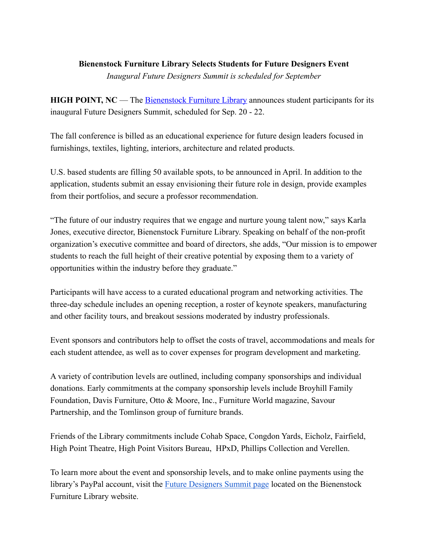## **Bienenstock Furniture Library Selects Students for Future Designers Event**

*Inaugural Future Designers Summit is scheduled for September*

**HIGH POINT, NC** — The **Bienenstock Furniture Library** announces student participants for its inaugural Future Designers Summit, scheduled for Sep. 20 - 22.

The fall conference is billed as an educational experience for future design leaders focused in furnishings, textiles, lighting, interiors, architecture and related products.

U.S. based students are filling 50 available spots, to be announced in April. In addition to the application, students submit an essay envisioning their future role in design, provide examples from their portfolios, and secure a professor recommendation.

"The future of our industry requires that we engage and nurture young talent now," says Karla Jones, executive director, Bienenstock Furniture Library. Speaking on behalf of the non-profit organization's executive committee and board of directors, she adds, "Our mission is to empower students to reach the full height of their creative potential by exposing them to a variety of opportunities within the industry before they graduate."

Participants will have access to a curated educational program and networking activities. The three-day schedule includes an opening reception, a roster of keynote speakers, manufacturing and other facility tours, and breakout sessions moderated by industry professionals.

Event sponsors and contributors help to offset the costs of travel, accommodations and meals for each student attendee, as well as to cover expenses for program development and marketing.

A variety of contribution levels are outlined, including company sponsorships and individual donations. Early commitments at the company sponsorship levels include Broyhill Family Foundation, Davis Furniture, Otto & Moore, Inc., Furniture World magazine, Savour Partnership, and the Tomlinson group of furniture brands.

Friends of the Library commitments include Cohab Space, Congdon Yards, Eicholz, Fairfield, High Point Theatre, High Point Visitors Bureau, HPxD, Phillips Collection and Verellen.

To learn more about the event and sponsorship levels, and to make online payments using the library's PayPal account, visit the **[Future Designers Summit page](https://www.furniturelibrary.com/future-designers-summit-2021/) located on the Bienenstock** Furniture Library website.